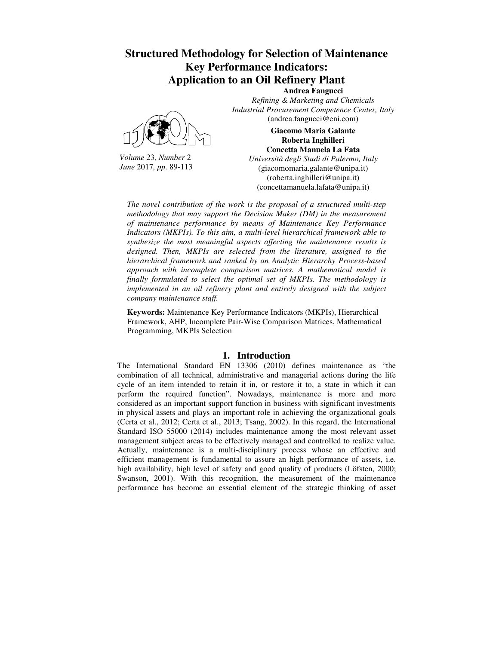# **Structured Methodology for Selection of Maintenance Key Performance Indicators: Application to an Oil Refinery Plant**



*Volume* 23*, Number* 2 *June* 2017*, pp.* 89-113

**Andrea Fangucci**  *Refining & Marketing and Chemicals Industrial Procurement Competence Center, Italy* (andrea.fangucci@eni.com)

### **Giacomo Maria Galante Roberta Inghilleri Concetta Manuela La Fata**

*Università degli Studi di Palermo, Italy* (giacomomaria.galante@unipa.it) (roberta.inghilleri@unipa.it) (concettamanuela.lafata@unipa.it)

*The novel contribution of the work is the proposal of a structured multi-step methodology that may support the Decision Maker (DM) in the measurement of maintenance performance by means of Maintenance Key Performance Indicators (MKPIs). To this aim, a multi-level hierarchical framework able to synthesize the most meaningful aspects affecting the maintenance results is designed. Then, MKPIs are selected from the literature, assigned to the hierarchical framework and ranked by an Analytic Hierarchy Process-based approach with incomplete comparison matrices. A mathematical model is finally formulated to select the optimal set of MKPIs. The methodology is implemented in an oil refinery plant and entirely designed with the subject company maintenance staff.*

**Keywords:** Maintenance Key Performance Indicators (MKPIs), Hierarchical Framework, AHP, Incomplete Pair-Wise Comparison Matrices, Mathematical Programming, MKPIs Selection

# **1. Introduction**

The International Standard EN 13306 (2010) defines maintenance as "the combination of all technical, administrative and managerial actions during the life cycle of an item intended to retain it in, or restore it to, a state in which it can perform the required function". Nowadays, maintenance is more and more considered as an important support function in business with significant investments in physical assets and plays an important role in achieving the organizational goals (Certa et al., 2012; Certa et al., 2013; Tsang, 2002). In this regard, the International Standard ISO 55000 (2014) includes maintenance among the most relevant asset management subject areas to be effectively managed and controlled to realize value. Actually, maintenance is a multi-disciplinary process whose an effective and efficient management is fundamental to assure an high performance of assets, i.e. high availability, high level of safety and good quality of products (Löfsten, 2000; Swanson, 2001). With this recognition, the measurement of the maintenance performance has become an essential element of the strategic thinking of asset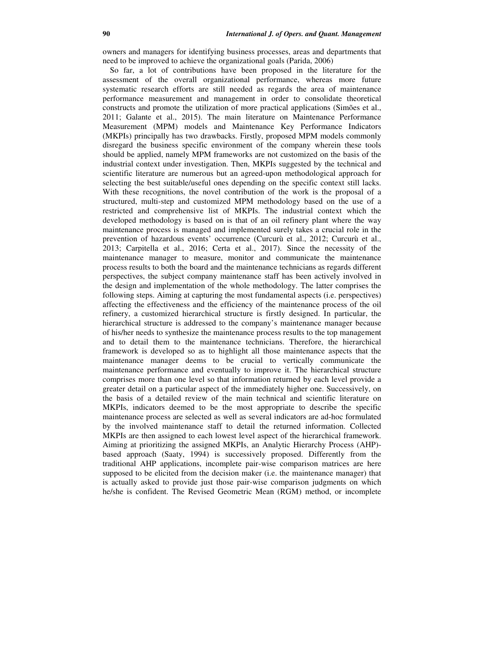owners and managers for identifying business processes, areas and departments that need to be improved to achieve the organizational goals (Parida, 2006)

So far, a lot of contributions have been proposed in the literature for the assessment of the overall organizational performance, whereas more future systematic research efforts are still needed as regards the area of maintenance performance measurement and management in order to consolidate theoretical constructs and promote the utilization of more practical applications (Simões et al., 2011; Galante et al., 2015). The main literature on Maintenance Performance Measurement (MPM) models and Maintenance Key Performance Indicators (MKPIs) principally has two drawbacks. Firstly, proposed MPM models commonly disregard the business specific environment of the company wherein these tools should be applied, namely MPM frameworks are not customized on the basis of the industrial context under investigation. Then, MKPIs suggested by the technical and scientific literature are numerous but an agreed-upon methodological approach for selecting the best suitable/useful ones depending on the specific context still lacks. With these recognitions, the novel contribution of the work is the proposal of a structured, multi-step and customized MPM methodology based on the use of a restricted and comprehensive list of MKPIs. The industrial context which the developed methodology is based on is that of an oil refinery plant where the way maintenance process is managed and implemented surely takes a crucial role in the prevention of hazardous events' occurrence (Curcurù et al., 2012; Curcurù et al., 2013; Carpitella et al., 2016; Certa et al., 2017). Since the necessity of the maintenance manager to measure, monitor and communicate the maintenance process results to both the board and the maintenance technicians as regards different perspectives, the subject company maintenance staff has been actively involved in the design and implementation of the whole methodology. The latter comprises the following steps. Aiming at capturing the most fundamental aspects (i.e. perspectives) affecting the effectiveness and the efficiency of the maintenance process of the oil refinery, a customized hierarchical structure is firstly designed. In particular, the hierarchical structure is addressed to the company's maintenance manager because of his/her needs to synthesize the maintenance process results to the top management and to detail them to the maintenance technicians. Therefore, the hierarchical framework is developed so as to highlight all those maintenance aspects that the maintenance manager deems to be crucial to vertically communicate the maintenance performance and eventually to improve it. The hierarchical structure comprises more than one level so that information returned by each level provide a greater detail on a particular aspect of the immediately higher one. Successively, on the basis of a detailed review of the main technical and scientific literature on MKPIs, indicators deemed to be the most appropriate to describe the specific maintenance process are selected as well as several indicators are ad-hoc formulated by the involved maintenance staff to detail the returned information. Collected MKPIs are then assigned to each lowest level aspect of the hierarchical framework. Aiming at prioritizing the assigned MKPIs, an Analytic Hierarchy Process (AHP) based approach (Saaty, 1994) is successively proposed. Differently from the traditional AHP applications, incomplete pair-wise comparison matrices are here supposed to be elicited from the decision maker (i.e. the maintenance manager) that is actually asked to provide just those pair-wise comparison judgments on which he/she is confident. The Revised Geometric Mean (RGM) method, or incomplete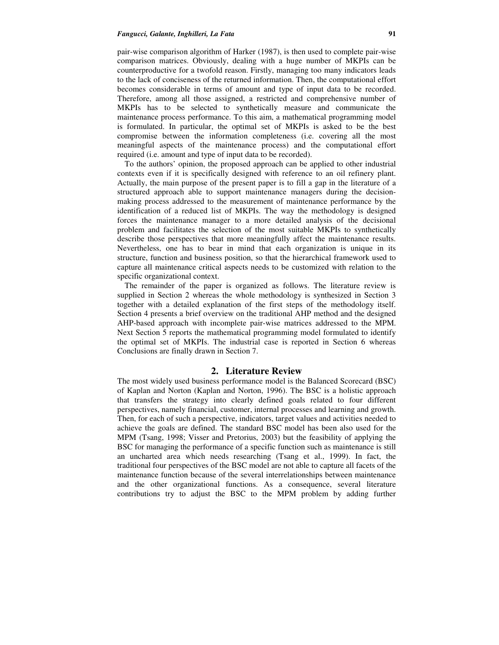#### *Fangucci, Galante, Inghilleri, La Fata* **91**

pair-wise comparison algorithm of Harker (1987), is then used to complete pair-wise comparison matrices. Obviously, dealing with a huge number of MKPIs can be counterproductive for a twofold reason. Firstly, managing too many indicators leads to the lack of conciseness of the returned information. Then, the computational effort becomes considerable in terms of amount and type of input data to be recorded. Therefore, among all those assigned, a restricted and comprehensive number of MKPIs has to be selected to synthetically measure and communicate the maintenance process performance. To this aim, a mathematical programming model is formulated. In particular, the optimal set of MKPIs is asked to be the best compromise between the information completeness (i.e. covering all the most meaningful aspects of the maintenance process) and the computational effort required (i.e. amount and type of input data to be recorded).

To the authors' opinion, the proposed approach can be applied to other industrial contexts even if it is specifically designed with reference to an oil refinery plant. Actually, the main purpose of the present paper is to fill a gap in the literature of a structured approach able to support maintenance managers during the decisionmaking process addressed to the measurement of maintenance performance by the identification of a reduced list of MKPIs. The way the methodology is designed forces the maintenance manager to a more detailed analysis of the decisional problem and facilitates the selection of the most suitable MKPIs to synthetically describe those perspectives that more meaningfully affect the maintenance results. Nevertheless, one has to bear in mind that each organization is unique in its structure, function and business position, so that the hierarchical framework used to capture all maintenance critical aspects needs to be customized with relation to the specific organizational context.

The remainder of the paper is organized as follows. The literature review is supplied in Section 2 whereas the whole methodology is synthesized in Section 3 together with a detailed explanation of the first steps of the methodology itself. Section 4 presents a brief overview on the traditional AHP method and the designed AHP-based approach with incomplete pair-wise matrices addressed to the MPM. Next Section 5 reports the mathematical programming model formulated to identify the optimal set of MKPIs. The industrial case is reported in Section 6 whereas Conclusions are finally drawn in Section 7.

## **2. Literature Review**

The most widely used business performance model is the Balanced Scorecard (BSC) of Kaplan and Norton (Kaplan and Norton, 1996). The BSC is a holistic approach that transfers the strategy into clearly defined goals related to four different perspectives, namely financial, customer, internal processes and learning and growth. Then, for each of such a perspective, indicators, target values and activities needed to achieve the goals are defined. The standard BSC model has been also used for the MPM (Tsang, 1998; Visser and Pretorius, 2003) but the feasibility of applying the BSC for managing the performance of a specific function such as maintenance is still an uncharted area which needs researching (Tsang et al., 1999). In fact, the traditional four perspectives of the BSC model are not able to capture all facets of the maintenance function because of the several interrelationships between maintenance and the other organizational functions. As a consequence, several literature contributions try to adjust the BSC to the MPM problem by adding further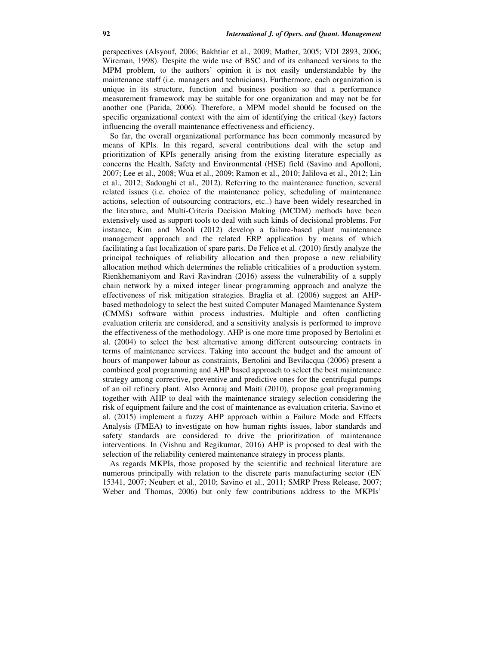perspectives (Alsyouf, 2006; Bakhtiar et al., 2009; Mather, 2005; VDI 2893, 2006; Wireman, 1998). Despite the wide use of BSC and of its enhanced versions to the MPM problem, to the authors' opinion it is not easily understandable by the maintenance staff (i.e. managers and technicians). Furthermore, each organization is unique in its structure, function and business position so that a performance measurement framework may be suitable for one organization and may not be for another one (Parida, 2006). Therefore, a MPM model should be focused on the specific organizational context with the aim of identifying the critical (key) factors influencing the overall maintenance effectiveness and efficiency.

So far, the overall organizational performance has been commonly measured by means of KPIs. In this regard, several contributions deal with the setup and prioritization of KPIs generally arising from the existing literature especially as concerns the Health, Safety and Environmental (HSE) field (Savino and Apolloni, 2007; Lee et al., 2008; Wua et al., 2009; Ramon et al., 2010; Jalilova et al., 2012; Lin et al., 2012; Sadoughi et al., 2012). Referring to the maintenance function, several related issues (i.e. choice of the maintenance policy, scheduling of maintenance actions, selection of outsourcing contractors, etc..) have been widely researched in the literature, and Multi-Criteria Decision Making (MCDM) methods have been extensively used as support tools to deal with such kinds of decisional problems. For instance, Kim and Meoli (2012) develop a failure-based plant maintenance management approach and the related ERP application by means of which facilitating a fast localization of spare parts. De Felice et al. (2010) firstly analyze the principal techniques of reliability allocation and then propose a new reliability allocation method which determines the reliable criticalities of a production system. Rienkhemaniyom and Ravi Ravindran (2016) assess the vulnerability of a supply chain network by a mixed integer linear programming approach and analyze the effectiveness of risk mitigation strategies. Braglia et al. (2006) suggest an AHPbased methodology to select the best suited Computer Managed Maintenance System (CMMS) software within process industries. Multiple and often conflicting evaluation criteria are considered, and a sensitivity analysis is performed to improve the effectiveness of the methodology. AHP is one more time proposed by Bertolini et al. (2004) to select the best alternative among different outsourcing contracts in terms of maintenance services. Taking into account the budget and the amount of hours of manpower labour as constraints, Bertolini and Bevilacqua (2006) present a combined goal programming and AHP based approach to select the best maintenance strategy among corrective, preventive and predictive ones for the centrifugal pumps of an oil refinery plant. Also Arunraj and Maiti (2010), propose goal programming together with AHP to deal with the maintenance strategy selection considering the risk of equipment failure and the cost of maintenance as evaluation criteria. Savino et al. (2015) implement a fuzzy AHP approach within a Failure Mode and Effects Analysis (FMEA) to investigate on how human rights issues, labor standards and safety standards are considered to drive the prioritization of maintenance interventions. In (Vishnu and Regikumar, 2016) AHP is proposed to deal with the selection of the reliability centered maintenance strategy in process plants.

As regards MKPIs, those proposed by the scientific and technical literature are numerous principally with relation to the discrete parts manufacturing sector (EN 15341, 2007; Neubert et al., 2010; Savino et al., 2011; SMRP Press Release, 2007; Weber and Thomas, 2006) but only few contributions address to the MKPIs'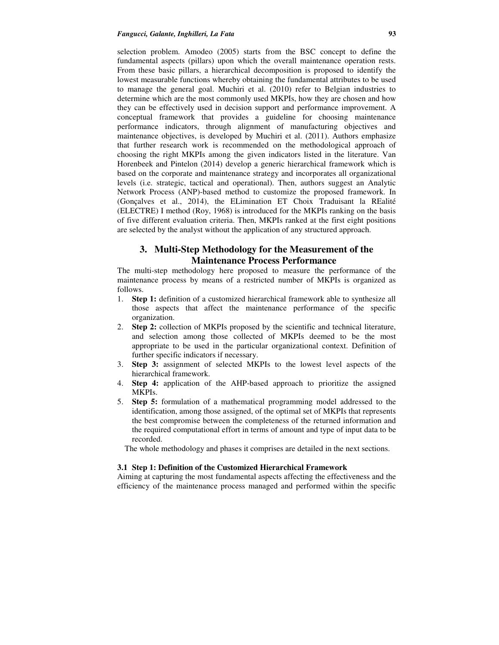selection problem. Amodeo (2005) starts from the BSC concept to define the fundamental aspects (pillars) upon which the overall maintenance operation rests. From these basic pillars, a hierarchical decomposition is proposed to identify the lowest measurable functions whereby obtaining the fundamental attributes to be used to manage the general goal. Muchiri et al. (2010) refer to Belgian industries to determine which are the most commonly used MKPIs, how they are chosen and how they can be effectively used in decision support and performance improvement. A conceptual framework that provides a guideline for choosing maintenance performance indicators, through alignment of manufacturing objectives and maintenance objectives, is developed by Muchiri et al. (2011). Authors emphasize that further research work is recommended on the methodological approach of choosing the right MKPIs among the given indicators listed in the literature. Van Horenbeek and Pintelon (2014) develop a generic hierarchical framework which is based on the corporate and maintenance strategy and incorporates all organizational levels (i.e. strategic, tactical and operational). Then, authors suggest an Analytic Network Process (ANP)-based method to customize the proposed framework. In (Gonçalves et al., 2014), the ELimination ET Choix Traduisant la REalité (ELECTRE) I method (Roy, 1968) is introduced for the MKPIs ranking on the basis of five different evaluation criteria. Then, MKPIs ranked at the first eight positions are selected by the analyst without the application of any structured approach.

# **3. Multi-Step Methodology for the Measurement of the Maintenance Process Performance**

The multi-step methodology here proposed to measure the performance of the maintenance process by means of a restricted number of MKPIs is organized as follows.

- 1. **Step 1:** definition of a customized hierarchical framework able to synthesize all those aspects that affect the maintenance performance of the specific organization.
- 2. **Step 2:** collection of MKPIs proposed by the scientific and technical literature, and selection among those collected of MKPIs deemed to be the most appropriate to be used in the particular organizational context. Definition of further specific indicators if necessary.
- 3. **Step 3:** assignment of selected MKPIs to the lowest level aspects of the hierarchical framework.
- 4. **Step 4:** application of the AHP-based approach to prioritize the assigned MKPIs.
- 5. **Step 5:** formulation of a mathematical programming model addressed to the identification, among those assigned, of the optimal set of MKPIs that represents the best compromise between the completeness of the returned information and the required computational effort in terms of amount and type of input data to be recorded.

The whole methodology and phases it comprises are detailed in the next sections.

#### **3.1 Step 1: Definition of the Customized Hierarchical Framework**

Aiming at capturing the most fundamental aspects affecting the effectiveness and the efficiency of the maintenance process managed and performed within the specific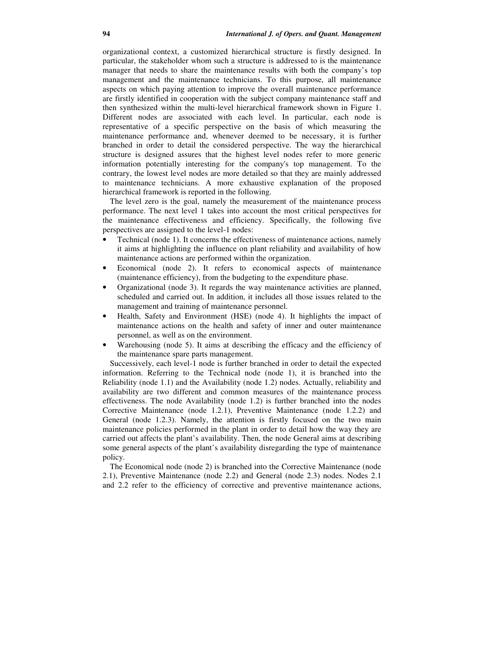organizational context, a customized hierarchical structure is firstly designed. In particular, the stakeholder whom such a structure is addressed to is the maintenance manager that needs to share the maintenance results with both the company's top management and the maintenance technicians. To this purpose, all maintenance aspects on which paying attention to improve the overall maintenance performance are firstly identified in cooperation with the subject company maintenance staff and then synthesized within the multi-level hierarchical framework shown in Figure 1. Different nodes are associated with each level. In particular, each node is representative of a specific perspective on the basis of which measuring the maintenance performance and, whenever deemed to be necessary, it is further branched in order to detail the considered perspective. The way the hierarchical structure is designed assures that the highest level nodes refer to more generic information potentially interesting for the company's top management. To the contrary, the lowest level nodes are more detailed so that they are mainly addressed to maintenance technicians. A more exhaustive explanation of the proposed hierarchical framework is reported in the following.

The level zero is the goal, namely the measurement of the maintenance process performance. The next level 1 takes into account the most critical perspectives for the maintenance effectiveness and efficiency. Specifically, the following five perspectives are assigned to the level-1 nodes:

- Technical (node 1). It concerns the effectiveness of maintenance actions, namely it aims at highlighting the influence on plant reliability and availability of how maintenance actions are performed within the organization.
- Economical (node 2). It refers to economical aspects of maintenance (maintenance efficiency), from the budgeting to the expenditure phase.
- Organizational (node 3). It regards the way maintenance activities are planned, scheduled and carried out. In addition, it includes all those issues related to the management and training of maintenance personnel.
- Health, Safety and Environment (HSE) (node 4). It highlights the impact of maintenance actions on the health and safety of inner and outer maintenance personnel, as well as on the environment.
- Warehousing (node 5). It aims at describing the efficacy and the efficiency of the maintenance spare parts management.

Successively, each level-1 node is further branched in order to detail the expected information. Referring to the Technical node (node 1), it is branched into the Reliability (node 1.1) and the Availability (node 1.2) nodes. Actually, reliability and availability are two different and common measures of the maintenance process effectiveness. The node Availability (node 1.2) is further branched into the nodes Corrective Maintenance (node 1.2.1), Preventive Maintenance (node 1.2.2) and General (node 1.2.3). Namely, the attention is firstly focused on the two main maintenance policies performed in the plant in order to detail how the way they are carried out affects the plant's availability. Then, the node General aims at describing some general aspects of the plant's availability disregarding the type of maintenance policy.

The Economical node (node 2) is branched into the Corrective Maintenance (node 2.1), Preventive Maintenance (node 2.2) and General (node 2.3) nodes. Nodes 2.1 and 2.2 refer to the efficiency of corrective and preventive maintenance actions,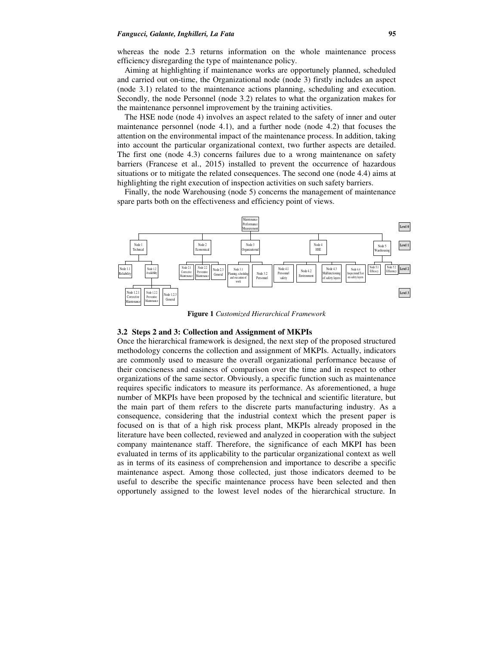#### *Fangucci, Galante, Inghilleri, La Fata* **95**

whereas the node 2.3 returns information on the whole maintenance process efficiency disregarding the type of maintenance policy.

Aiming at highlighting if maintenance works are opportunely planned, scheduled and carried out on-time, the Organizational node (node 3) firstly includes an aspect (node 3.1) related to the maintenance actions planning, scheduling and execution. Secondly, the node Personnel (node 3.2) relates to what the organization makes for the maintenance personnel improvement by the training activities.

The HSE node (node 4) involves an aspect related to the safety of inner and outer maintenance personnel (node 4.1), and a further node (node 4.2) that focuses the attention on the environmental impact of the maintenance process. In addition, taking into account the particular organizational context, two further aspects are detailed. The first one (node 4.3) concerns failures due to a wrong maintenance on safety barriers (Francese et al., 2015) installed to prevent the occurrence of hazardous situations or to mitigate the related consequences. The second one (node 4.4) aims at highlighting the right execution of inspection activities on such safety barriers.

Finally, the node Warehousing (node 5) concerns the management of maintenance spare parts both on the effectiveness and efficiency point of views.



**Figure 1** *Customized Hierarchical Framework* 

#### **3.2 Steps 2 and 3: Collection and Assignment of MKPIs**

Once the hierarchical framework is designed, the next step of the proposed structured methodology concerns the collection and assignment of MKPIs. Actually, indicators are commonly used to measure the overall organizational performance because of their conciseness and easiness of comparison over the time and in respect to other organizations of the same sector. Obviously, a specific function such as maintenance requires specific indicators to measure its performance. As aforementioned, a huge number of MKPIs have been proposed by the technical and scientific literature, but the main part of them refers to the discrete parts manufacturing industry. As a consequence, considering that the industrial context which the present paper is focused on is that of a high risk process plant, MKPIs already proposed in the literature have been collected, reviewed and analyzed in cooperation with the subject company maintenance staff. Therefore, the significance of each MKPI has been evaluated in terms of its applicability to the particular organizational context as well as in terms of its easiness of comprehension and importance to describe a specific maintenance aspect. Among those collected, just those indicators deemed to be useful to describe the specific maintenance process have been selected and then opportunely assigned to the lowest level nodes of the hierarchical structure. In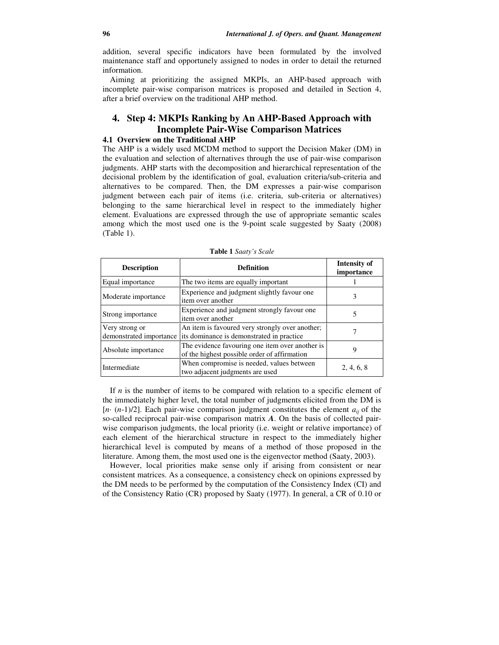addition, several specific indicators have been formulated by the involved maintenance staff and opportunely assigned to nodes in order to detail the returned information.

Aiming at prioritizing the assigned MKPIs, an AHP-based approach with incomplete pair-wise comparison matrices is proposed and detailed in Section 4, after a brief overview on the traditional AHP method.

# **4. Step 4: MKPIs Ranking by An AHP-Based Approach with Incomplete Pair-Wise Comparison Matrices**

# **4.1 Overview on the Traditional AHP**

The AHP is a widely used MCDM method to support the Decision Maker (DM) in the evaluation and selection of alternatives through the use of pair-wise comparison judgments. AHP starts with the decomposition and hierarchical representation of the decisional problem by the identification of goal, evaluation criteria/sub-criteria and alternatives to be compared. Then, the DM expresses a pair-wise comparison judgment between each pair of items (i.e. criteria, sub-criteria or alternatives) belonging to the same hierarchical level in respect to the immediately higher element. Evaluations are expressed through the use of appropriate semantic scales among which the most used one is the 9-point scale suggested by Saaty (2008) (Table 1).

| <b>Description</b>                        | <b>Definition</b>                                                                               | <b>Intensity of</b><br>importance |
|-------------------------------------------|-------------------------------------------------------------------------------------------------|-----------------------------------|
| Equal importance                          | The two items are equally important                                                             |                                   |
| Moderate importance                       | Experience and judgment slightly favour one<br>item over another                                | 3                                 |
| Strong importance                         | Experience and judgment strongly favour one<br>item over another                                |                                   |
| Very strong or<br>demonstrated importance | An item is favoured very strongly over another;<br>its dominance is demonstrated in practice    |                                   |
| Absolute importance                       | The evidence favouring one item over another is<br>of the highest possible order of affirmation |                                   |
| Intermediate                              | When compromise is needed, values between<br>two adjacent judgments are used                    | 2, 4, 6, 8                        |

**Table 1** *Saaty's Scale*

If *n* is the number of items to be compared with relation to a specific element of the immediately higher level, the total number of judgments elicited from the DM is  $[n \cdot (n-1)/2]$ . Each pair-wise comparison judgment constitutes the element  $a_{ii}$  of the so-called reciprocal pair-wise comparison matrix *A*. On the basis of collected pairwise comparison judgments, the local priority (i.e. weight or relative importance) of each element of the hierarchical structure in respect to the immediately higher hierarchical level is computed by means of a method of those proposed in the literature. Among them, the most used one is the eigenvector method (Saaty, 2003).

However, local priorities make sense only if arising from consistent or near consistent matrices. As a consequence, a consistency check on opinions expressed by the DM needs to be performed by the computation of the Consistency Index (CI) and of the Consistency Ratio (CR) proposed by Saaty (1977). In general, a CR of 0.10 or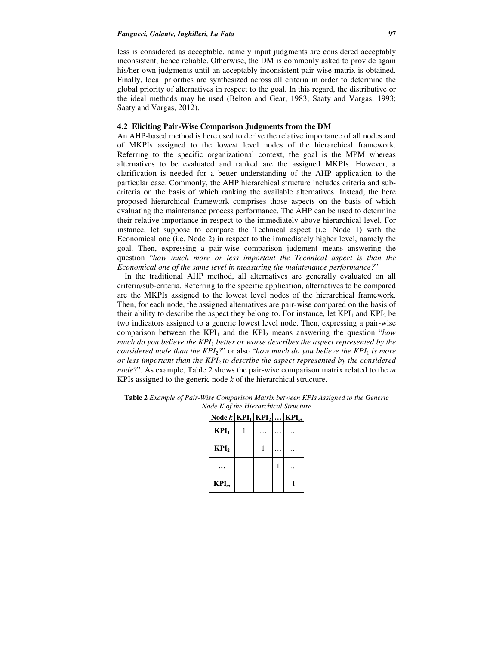#### *Fangucci, Galante, Inghilleri, La Fata* 97

less is considered as acceptable, namely input judgments are considered acceptably inconsistent, hence reliable. Otherwise, the DM is commonly asked to provide again his/her own judgments until an acceptably inconsistent pair-wise matrix is obtained. Finally, local priorities are synthesized across all criteria in order to determine the global priority of alternatives in respect to the goal. In this regard, the distributive or the ideal methods may be used (Belton and Gear, 1983; Saaty and Vargas, 1993; Saaty and Vargas, 2012).

#### **4.2 Eliciting Pair-Wise Comparison Judgments from the DM**

An AHP-based method is here used to derive the relative importance of all nodes and of MKPIs assigned to the lowest level nodes of the hierarchical framework. Referring to the specific organizational context, the goal is the MPM whereas alternatives to be evaluated and ranked are the assigned MKPIs. However, a clarification is needed for a better understanding of the AHP application to the particular case. Commonly, the AHP hierarchical structure includes criteria and subcriteria on the basis of which ranking the available alternatives. Instead, the here proposed hierarchical framework comprises those aspects on the basis of which evaluating the maintenance process performance. The AHP can be used to determine their relative importance in respect to the immediately above hierarchical level. For instance, let suppose to compare the Technical aspect (i.e. Node 1) with the Economical one (i.e. Node 2) in respect to the immediately higher level, namely the goal. Then, expressing a pair-wise comparison judgment means answering the question "*how much more or less important the Technical aspect is than the Economical one of the same level in measuring the maintenance performance?*"

In the traditional AHP method, all alternatives are generally evaluated on all criteria/sub-criteria. Referring to the specific application, alternatives to be compared are the MKPIs assigned to the lowest level nodes of the hierarchical framework. Then, for each node, the assigned alternatives are pair-wise compared on the basis of their ability to describe the aspect they belong to. For instance, let  $KPI_1$  and  $KPI_2$  be two indicators assigned to a generic lowest level node. Then, expressing a pair-wise comparison between the  $KPI_1$  and the  $KPI_2$  means answering the question "*how much do you believe the KPI*<sup>1</sup> *better or worse describes the aspect represented by the considered node than the KPI*<sub>2</sub>?" or also "*how much do you believe the KPI*<sub>1</sub> *is more or less important than the KPI*<sup>2</sup> *to describe the aspect represented by the considered node*?". As example, Table 2 shows the pair-wise comparison matrix related to the *m* KPIs assigned to the generic node *k* of the hierarchical structure.

| Node $k$ KPI <sub>1</sub> KPI <sub>2</sub> |  | $KPI_m$ |
|--------------------------------------------|--|---------|
| $KPI_1$                                    |  |         |
| KPI <sub>2</sub>                           |  |         |
|                                            |  |         |
| $KPI_m$                                    |  |         |

**Table 2** *Example of Pair-Wise Comparison Matrix between KPIs Assigned to the Generic Node K of the Hierarchical Structure*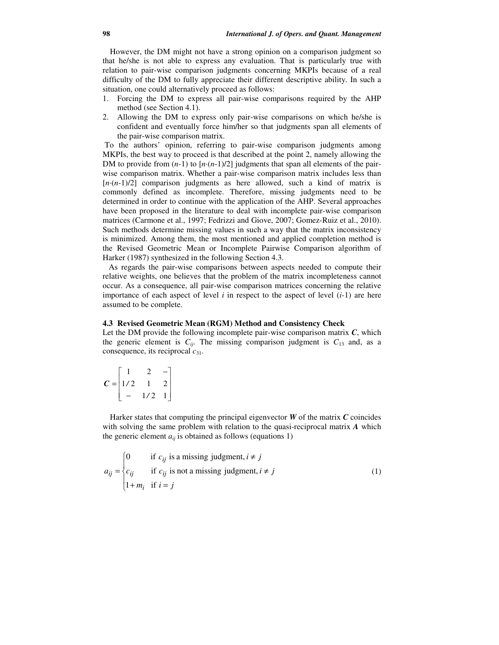However, the DM might not have a strong opinion on a comparison judgment so that he/she is not able to express any evaluation. That is particularly true with relation to pair-wise comparison judgments concerning MKPIs because of a real difficulty of the DM to fully appreciate their different descriptive ability. In such a situation, one could alternatively proceed as follows:

- 1. Forcing the DM to express all pair-wise comparisons required by the AHP method (see Section 4.1).
- 2. Allowing the DM to express only pair-wise comparisons on which he/she is confident and eventually force him/her so that judgments span all elements of the pair-wise comparison matrix.

 To the authors' opinion, referring to pair-wise comparison judgments among MKPIs, the best way to proceed is that described at the point 2, namely allowing the DM to provide from  $(n-1)$  to  $[n(n-1)/2]$  judgments that span all elements of the pairwise comparison matrix. Whether a pair-wise comparison matrix includes less than [*n·*(*n*-1)/2] comparison judgments as here allowed, such a kind of matrix is commonly defined as incomplete. Therefore, missing judgments need to be determined in order to continue with the application of the AHP. Several approaches have been proposed in the literature to deal with incomplete pair-wise comparison matrices (Carmone et al., 1997; Fedrizzi and Giove, 2007; Gomez-Ruiz et al., 2010). Such methods determine missing values in such a way that the matrix inconsistency is minimized. Among them, the most mentioned and applied completion method is the Revised Geometric Mean or Incomplete Pairwise Comparison algorithm of Harker (1987) synthesized in the following Section 4.3.

 As regards the pair-wise comparisons between aspects needed to compute their relative weights, one believes that the problem of the matrix incompleteness cannot occur. As a consequence, all pair-wise comparison matrices concerning the relative importance of each aspect of level  $i$  in respect to the aspect of level  $(i-1)$  are here assumed to be complete.

#### **4.3 Revised Geometric Mean (RGM) Method and Consistency Check**

Let the DM provide the following incomplete pair-wise comparison matrix *C*, which the generic element is  $C_{ij}$ . The missing comparison judgment is  $C_{13}$  and, as a consequence, its reciprocal *c*31.

$$
C = \begin{bmatrix} 1 & 2 & - \\ 1/2 & 1 & 2 \\ - & 1/2 & 1 \end{bmatrix}
$$

Harker states that computing the principal eigenvector *W* of the matrix *C* coincides with solving the same problem with relation to the quasi-reciprocal matrix *A* which the generic element  $a_{ii}$  is obtained as follows (equations 1)

$$
a_{ij} = \begin{cases} 0 & \text{if } c_{ij} \text{ is a missing judgment, } i \neq j \\ c_{ij} & \text{if } c_{ij} \text{ is not a missing judgment, } i \neq j \\ 1 + m_i & \text{if } i = j \end{cases}
$$
 (1)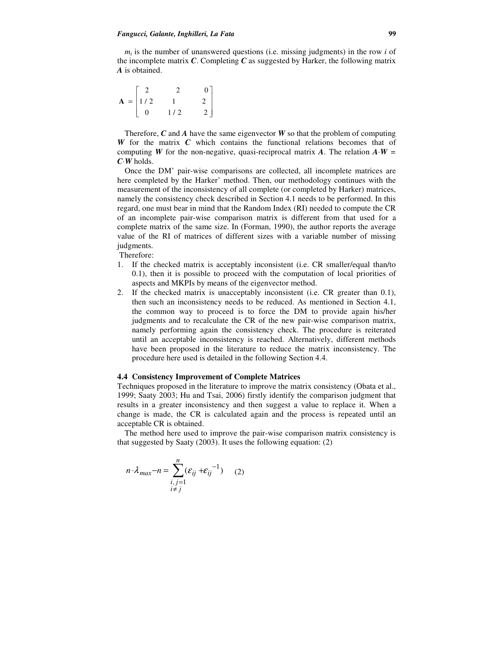$m<sub>i</sub>$  is the number of unanswered questions (i.e. missing judgments) in the row  $i$  of the incomplete matrix *C*. Completing *C* as suggested by Harker, the following matrix *A* is obtained.

 $\overline{\phantom{a}}$  $\overline{\phantom{a}}$  $\overline{\phantom{a}}$ J 1 L L L L Г = 0  $1/2$  2  $1 / 2$  1 2 2 2 0 **A**

Therefore, *C* and *A* have the same eigenvector *W* so that the problem of computing *W* for the matrix *C* which contains the functional relations becomes that of computing *W* for the non-negative, quasi-reciprocal matrix *A*. The relation  $A \cdot W =$ *C·W* holds.

Once the DM' pair-wise comparisons are collected, all incomplete matrices are here completed by the Harker' method. Then, our methodology continues with the measurement of the inconsistency of all complete (or completed by Harker) matrices, namely the consistency check described in Section 4.1 needs to be performed. In this regard, one must bear in mind that the Random Index (RI) needed to compute the CR of an incomplete pair-wise comparison matrix is different from that used for a complete matrix of the same size. In (Forman, 1990), the author reports the average value of the RI of matrices of different sizes with a variable number of missing judgments.

Therefore:

- 1. If the checked matrix is acceptably inconsistent (i.e. CR smaller/equal than/to 0.1), then it is possible to proceed with the computation of local priorities of aspects and MKPIs by means of the eigenvector method.
- 2. If the checked matrix is unacceptably inconsistent (i.e. CR greater than 0.1), then such an inconsistency needs to be reduced. As mentioned in Section 4.1, the common way to proceed is to force the DM to provide again his/her judgments and to recalculate the CR of the new pair-wise comparison matrix, namely performing again the consistency check. The procedure is reiterated until an acceptable inconsistency is reached. Alternatively, different methods have been proposed in the literature to reduce the matrix inconsistency. The procedure here used is detailed in the following Section 4.4.

### **4.4 Consistency Improvement of Complete Matrices**

Techniques proposed in the literature to improve the matrix consistency (Obata et al., 1999; Saaty 2003; Hu and Tsai, 2006) firstly identify the comparison judgment that results in a greater inconsistency and then suggest a value to replace it. When a change is made, the CR is calculated again and the process is repeated until an acceptable CR is obtained.

The method here used to improve the pair-wise comparison matrix consistency is that suggested by Saaty (2003). It uses the following equation: (2)

$$
n \cdot \lambda_{max} - n = \sum_{\substack{i,j=1 \ i \neq j}}^{n} (\varepsilon_{ij} + \varepsilon_{ij}^{-1})
$$
 (2)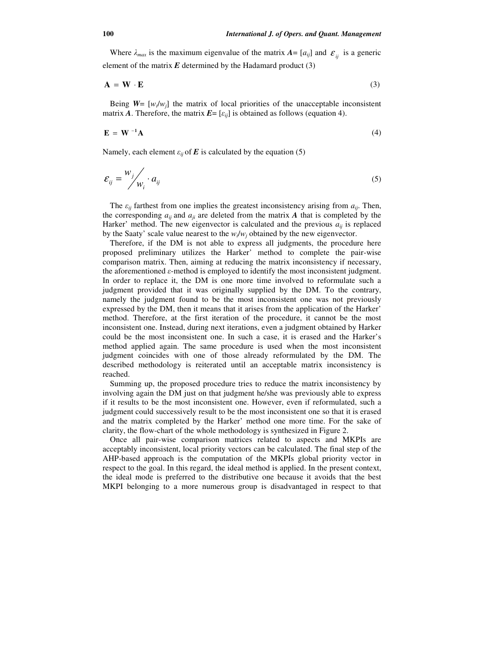Where  $\lambda_{max}$  is the maximum eigenvalue of the matrix  $A = [a_{ij}]$  and  $\varepsilon_{ij}$  is a generic element of the matrix  $E$  determined by the Hadamard product  $(3)$ 

$$
\mathbf{A} = \mathbf{W} \cdot \mathbf{E} \tag{3}
$$

Being  $W = [w_i/w_j]$  the matrix of local priorities of the unacceptable inconsistent matrix *A*. Therefore, the matrix  $E = [\varepsilon_{ii}]$  is obtained as follows (equation 4).

$$
\mathbf{E} = \mathbf{W}^{-1} \mathbf{A} \tag{4}
$$

Namely, each element  $\varepsilon_{ii}$  of **E** is calculated by the equation (5)

$$
\varepsilon_{ij} = \frac{w_j}{w_i} \cdot a_{ij} \tag{5}
$$

The  $\varepsilon_{ij}$  farthest from one implies the greatest inconsistency arising from  $a_{ij}$ . Then, the corresponding  $a_{ij}$  and  $a_{ji}$  are deleted from the matrix  $A$  that is completed by the Harker' method. The new eigenvector is calculated and the previous  $a_{ij}$  is replaced by the Saaty' scale value nearest to the  $w_i/w_j$  obtained by the new eigenvector.

Therefore, if the DM is not able to express all judgments, the procedure here proposed preliminary utilizes the Harker' method to complete the pair-wise comparison matrix. Then, aiming at reducing the matrix inconsistency if necessary, the aforementioned  $\varepsilon$ -method is employed to identify the most inconsistent judgment. In order to replace it, the DM is one more time involved to reformulate such a judgment provided that it was originally supplied by the DM. To the contrary, namely the judgment found to be the most inconsistent one was not previously expressed by the DM, then it means that it arises from the application of the Harker' method. Therefore, at the first iteration of the procedure, it cannot be the most inconsistent one. Instead, during next iterations, even a judgment obtained by Harker could be the most inconsistent one. In such a case, it is erased and the Harker's method applied again. The same procedure is used when the most inconsistent judgment coincides with one of those already reformulated by the DM. The described methodology is reiterated until an acceptable matrix inconsistency is reached.

Summing up, the proposed procedure tries to reduce the matrix inconsistency by involving again the DM just on that judgment he/she was previously able to express if it results to be the most inconsistent one. However, even if reformulated, such a judgment could successively result to be the most inconsistent one so that it is erased and the matrix completed by the Harker' method one more time. For the sake of clarity, the flow-chart of the whole methodology is synthesized in Figure 2.

Once all pair-wise comparison matrices related to aspects and MKPIs are acceptably inconsistent, local priority vectors can be calculated. The final step of the AHP-based approach is the computation of the MKPIs global priority vector in respect to the goal. In this regard, the ideal method is applied. In the present context, the ideal mode is preferred to the distributive one because it avoids that the best MKPI belonging to a more numerous group is disadvantaged in respect to that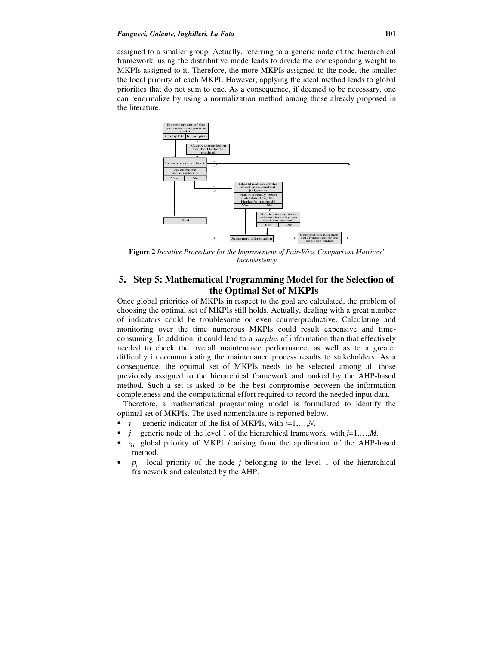#### *Fangucci, Galante, Inghilleri, La Fata* **101**

assigned to a smaller group. Actually, referring to a generic node of the hierarchical framework, using the distributive mode leads to divide the corresponding weight to MKPIs assigned to it. Therefore, the more MKPIs assigned to the node, the smaller the local priority of each MKPI. However, applying the ideal method leads to global priorities that do not sum to one. As a consequence, if deemed to be necessary, one can renormalize by using a normalization method among those already proposed in the literature.



**Figure 2** *Iterative Procedure for the Improvement of Pair-Wise Comparison Matrices' Inconsistency*

# **5. Step 5: Mathematical Programming Model for the Selection of the Optimal Set of MKPIs**

Once global priorities of MKPIs in respect to the goal are calculated, the problem of choosing the optimal set of MKPIs still holds. Actually, dealing with a great number of indicators could be troublesome or even counterproductive. Calculating and monitoring over the time numerous MKPIs could result expensive and timeconsuming. In addition, it could lead to a *surplus* of information than that effectively needed to check the overall maintenance performance, as well as to a greater difficulty in communicating the maintenance process results to stakeholders. As a consequence, the optimal set of MKPIs needs to be selected among all those previously assigned to the hierarchical framework and ranked by the AHP-based method. Such a set is asked to be the best compromise between the information completeness and the computational effort required to record the needed input data.

 Therefore, a mathematical programming model is formulated to identify the optimal set of MKPIs. The used nomenclature is reported below.

- *i* generic indicator of the list of MKPIs, with *i*=1,…,*N*.
- *j* generic node of the level 1 of the hierarchical framework, with *j*=1,…,*M*.
- $g_i$  global priority of MKPI *i* arising from the application of the AHP-based method.
- $p_i$ *local priority of the node <i>j* belonging to the level 1 of the hierarchical framework and calculated by the AHP.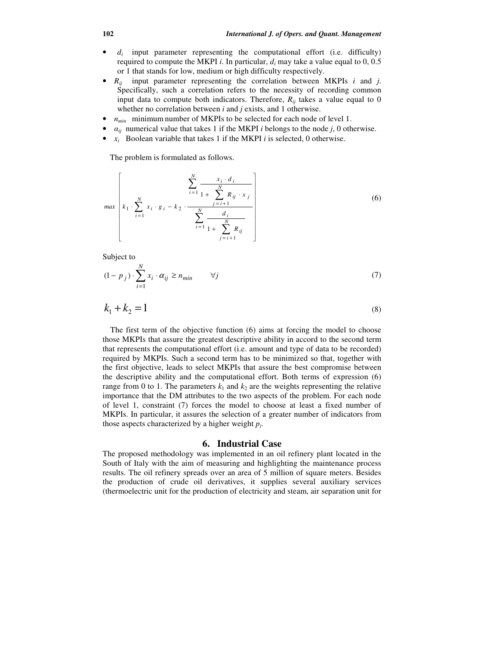- $\bullet$   $d_i$  input parameter representing the computational effort (i.e. difficulty) required to compute the MKPI *i*. In particular, *d<sup>i</sup>* may take a value equal to 0, 0.5 or 1 that stands for low, medium or high difficulty respectively.
- *Rij* input parameter representing the correlation between MKPIs *i* and *j*. Specifically, such a correlation refers to the necessity of recording common input data to compute both indicators. Therefore,  $R_{ii}$  takes a value equal to 0 whether no correlation between *i* and *j* exists, and 1 otherwise.
- $n_{min}$  minimum number of MKPIs to be selected for each node of level 1.
- $a_{ij}$  numerical value that takes 1 if the MKPI *i* belongs to the node *j*, 0 otherwise.
- $x_i$  Boolean variable that takes 1 if the MKPI *i* is selected, 0 otherwise.

The problem is formulated as follows.

$$
\max\left[k_1 \cdot \sum_{i=1}^N x_i \cdot g_i - k_2 \cdot \frac{\sum_{i=1}^N \frac{x_i \cdot d_i}{1 + \sum_{j=i+1}^N R_{ij} \cdot x_j}}{\sum_{i=1}^N \frac{d_i}{1 + \sum_{j=i+1}^N R_{ij}}}\right]
$$
(6)

Subject to

$$
(1 - p_j) \cdot \sum_{i=1}^{N} x_i \cdot \alpha_{ij} \ge n_{min} \qquad \forall j \tag{7}
$$

$$
k_1 + k_2 = 1 \tag{8}
$$

The first term of the objective function (6) aims at forcing the model to choose those MKPIs that assure the greatest descriptive ability in accord to the second term that represents the computational effort (i.e. amount and type of data to be recorded) required by MKPIs. Such a second term has to be minimized so that, together with the first objective, leads to select MKPIs that assure the best compromise between the descriptive ability and the computational effort. Both terms of expression (6) range from 0 to 1. The parameters  $k_1$  and  $k_2$  are the weights representing the relative importance that the DM attributes to the two aspects of the problem. For each node of level 1, constraint (7) forces the model to choose at least a fixed number of MKPIs. In particular, it assures the selection of a greater number of indicators from those aspects characterized by a higher weight *p<sup>j</sup>* .

#### **6. Industrial Case**

The proposed methodology was implemented in an oil refinery plant located in the South of Italy with the aim of measuring and highlighting the maintenance process results. The oil refinery spreads over an area of 5 million of square meters. Besides the production of crude oil derivatives, it supplies several auxiliary services (thermoelectric unit for the production of electricity and steam, air separation unit for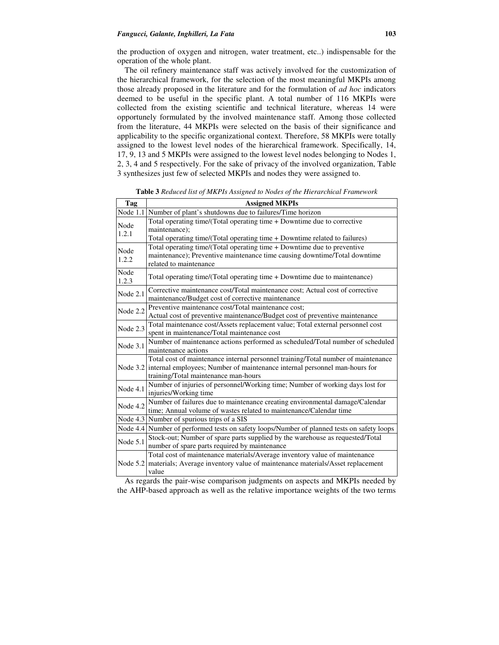the production of oxygen and nitrogen, water treatment, etc..) indispensable for the operation of the whole plant.

The oil refinery maintenance staff was actively involved for the customization of the hierarchical framework, for the selection of the most meaningful MKPIs among those already proposed in the literature and for the formulation of *ad hoc* indicators deemed to be useful in the specific plant. A total number of 116 MKPIs were collected from the existing scientific and technical literature, whereas 14 were opportunely formulated by the involved maintenance staff. Among those collected from the literature, 44 MKPIs were selected on the basis of their significance and applicability to the specific organizational context. Therefore, 58 MKPIs were totally assigned to the lowest level nodes of the hierarchical framework. Specifically, 14, 17, 9, 13 and 5 MKPIs were assigned to the lowest level nodes belonging to Nodes 1, 2, 3, 4 and 5 respectively. For the sake of privacy of the involved organization, Table 3 synthesizes just few of selected MKPIs and nodes they were assigned to.

| Tag           | <b>Assigned MKPIs</b>                                                                                                                                                                                            |  |  |
|---------------|------------------------------------------------------------------------------------------------------------------------------------------------------------------------------------------------------------------|--|--|
| Node $1.1$    | Number of plant's shutdowns due to failures/Time horizon                                                                                                                                                         |  |  |
| Node<br>1.2.1 | Total operating time/(Total operating time + Downtime due to corrective<br>maintenance);<br>Total operating time/(Total operating time + Downtime related to failures)                                           |  |  |
| Node<br>1.2.2 | Total operating time/(Total operating time $+$ Downtime due to preventive<br>maintenance); Preventive maintenance time causing downtime/Total downtime<br>related to maintenance                                 |  |  |
| Node<br>1.2.3 | Total operating time/(Total operating time $+$ Downtime due to maintenance)                                                                                                                                      |  |  |
| Node 2.1      | Corrective maintenance cost/Total maintenance cost; Actual cost of corrective<br>maintenance/Budget cost of corrective maintenance                                                                               |  |  |
| Node 2.2      | Preventive maintenance cost/Total maintenance cost;<br>Actual cost of preventive maintenance/Budget cost of preventive maintenance                                                                               |  |  |
| Node 2.3      | Total maintenance cost/Assets replacement value; Total external personnel cost<br>spent in maintenance/Total maintenance cost                                                                                    |  |  |
| Node 3.1      | Number of maintenance actions performed as scheduled/Total number of scheduled<br>maintenance actions                                                                                                            |  |  |
|               | Total cost of maintenance internal personnel training/Total number of maintenance<br>Node 3.2 internal employees; Number of maintenance internal personnel man-hours for<br>training/Total maintenance man-hours |  |  |
| Node 4.1      | Number of injuries of personnel/Working time; Number of working days lost for<br>injuries/Working time                                                                                                           |  |  |
| Node 4.2      | Number of failures due to maintenance creating environmental damage/Calendar<br>time; Annual volume of wastes related to maintenance/Calendar time                                                               |  |  |
|               | Node 4.3 Number of spurious trips of a SIS                                                                                                                                                                       |  |  |
| Node 4.4      | Number of performed tests on safety loops/Number of planned tests on safety loops                                                                                                                                |  |  |
| Node $5.1$    | Stock-out; Number of spare parts supplied by the warehouse as requested/Total<br>number of spare parts required by maintenance                                                                                   |  |  |
| Node 5.2      | Total cost of maintenance materials/Average inventory value of maintenance<br>materials; Average inventory value of maintenance materials/Asset replacement<br>value                                             |  |  |

**Table 3** *Reduced list of MKPIs Assigned to Nodes of the Hierarchical Framework*

As regards the pair-wise comparison judgments on aspects and MKPIs needed by the AHP-based approach as well as the relative importance weights of the two terms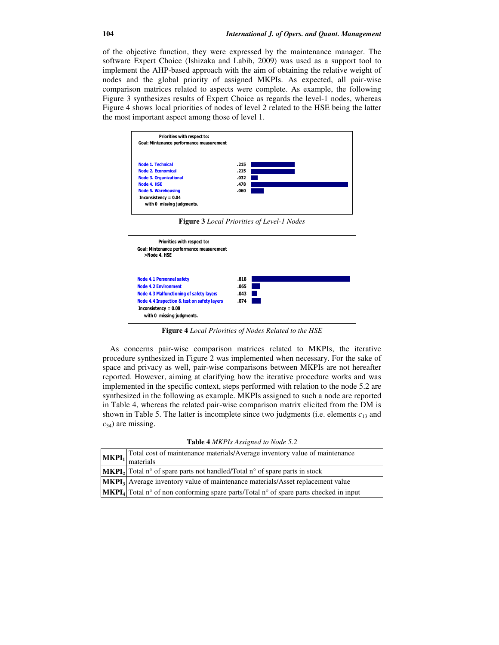of the objective function, they were expressed by the maintenance manager. The software Expert Choice (Ishizaka and Labib, 2009) was used as a support tool to implement the AHP-based approach with the aim of obtaining the relative weight of nodes and the global priority of assigned MKPIs. As expected, all pair-wise comparison matrices related to aspects were complete. As example, the following Figure 3 synthesizes results of Expert Choice as regards the level-1 nodes, whereas Figure 4 shows local priorities of nodes of level 2 related to the HSE being the latter the most important aspect among those of level 1.



**Figure 3** *Local Priorities of Level-1 Nodes* 



**Figure 4** *Local Priorities of Nodes Related to the HSE* 

As concerns pair-wise comparison matrices related to MKPIs, the iterative procedure synthesized in Figure 2 was implemented when necessary. For the sake of space and privacy as well, pair-wise comparisons between MKPIs are not hereafter reported. However, aiming at clarifying how the iterative procedure works and was implemented in the specific context, steps performed with relation to the node 5.2 are synthesized in the following as example. MKPIs assigned to such a node are reported in Table 4, whereas the related pair-wise comparison matrix elicited from the DM is shown in Table 5. The latter is incomplete since two judgments (i.e. elements  $c_{13}$  and *c*34) are missing.

**Table 4** *MKPIs Assigned to Node 5.2*

| Total cost of maintenance materials/Average inventory value of maintenance<br>$MKPI1$ $\frac{1}{\text{materials}}$ |  |
|--------------------------------------------------------------------------------------------------------------------|--|
| $ \text{MKPI}_2 $ Total n° of spare parts not handled/Total n° of spare parts in stock                             |  |
| MKPI <sub>3</sub> Average inventory value of maintenance materials/Asset replacement value                         |  |
| $ \text{MKPI}_4 $ Total n° of non conforming spare parts/Total n° of spare parts checked in input                  |  |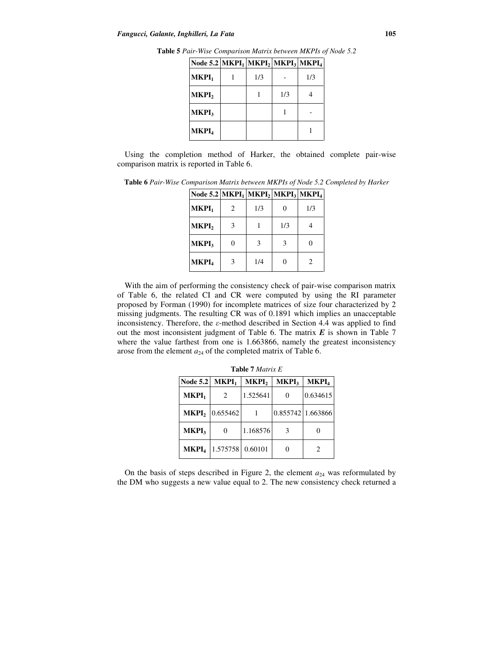| Node 5.2   MKP $I_1$   MKP $I_2$   MKP $I_3$   MKP $I_4$ |     |     |     |
|----------------------------------------------------------|-----|-----|-----|
| MKPI <sub>1</sub>                                        | 1/3 |     | 1/3 |
| MKPI <sub>2</sub>                                        |     | 1/3 |     |
| <b>MKPI</b> <sub>3</sub>                                 |     |     |     |
| MKPI <sub>4</sub>                                        |     |     |     |

**Table 5** *Pair-Wise Comparison Matrix between MKPIs of Node 5.2*  **Node 5.2 MKPI<sup>1</sup> MKPI<sup>2</sup> MKPI<sup>3</sup> MKPI<sup>4</sup>**

Using the completion method of Harker, the obtained complete pair-wise comparison matrix is reported in Table 6.

| Node 5.2 MKPI <sub>1</sub> MKPI <sub>2</sub> MKPI <sub>3</sub> MKPI <sub>4</sub> |                             |     |     |                             |
|----------------------------------------------------------------------------------|-----------------------------|-----|-----|-----------------------------|
| MKPI <sub>1</sub>                                                                | $\mathcal{D}_{\mathcal{L}}$ | 1/3 |     | 1/3                         |
| MKPI <sub>2</sub>                                                                | 3                           |     | 1/3 |                             |
| MKPI <sub>3</sub>                                                                |                             | 3   | 3   |                             |
| MKPI <sub>4</sub>                                                                | 3                           | 1/4 |     | $\mathcal{D}_{\mathcal{L}}$ |

**Table 6** *Pair-Wise Comparison Matrix between MKPIs of Node 5.2 Completed by Harker*

With the aim of performing the consistency check of pair-wise comparison matrix of Table 6, the related CI and CR were computed by using the RI parameter proposed by Forman (1990) for incomplete matrices of size four characterized by 2 missing judgments. The resulting CR was of 0.1891 which implies an unacceptable inconsistency. Therefore, the  $\varepsilon$ -method described in Section 4.4 was applied to find out the most inconsistent judgment of Table 6. The matrix *E* is shown in Table 7 where the value farthest from one is 1.663866, namely the greatest inconsistency arose from the element  $a_{24}$  of the completed matrix of Table 6.

| <b>Node 5.2</b>          | MKPI <sub>1</sub>                   | MKPI <sub>2</sub> | <b>MKPI</b> <sub>3</sub> | MKPI <sub>4</sub> |
|--------------------------|-------------------------------------|-------------------|--------------------------|-------------------|
| MKPI <sub>1</sub>        | $\mathcal{D}_{\mathcal{L}}$         | 1.525641          |                          | 0.634615          |
|                          | <b>MKPI</b> <sub>2</sub>   0.655462 |                   | 0.855742 1.663866        |                   |
| <b>MKPI</b> <sub>3</sub> | $\theta$                            | 1.168576          | 3                        |                   |
| <b>MKPL</b>              | 1.575758                            | 0.60101           |                          |                   |

**Table 7** *Matrix E*

On the basis of steps described in Figure 2, the element  $a_{24}$  was reformulated by the DM who suggests a new value equal to 2. The new consistency check returned a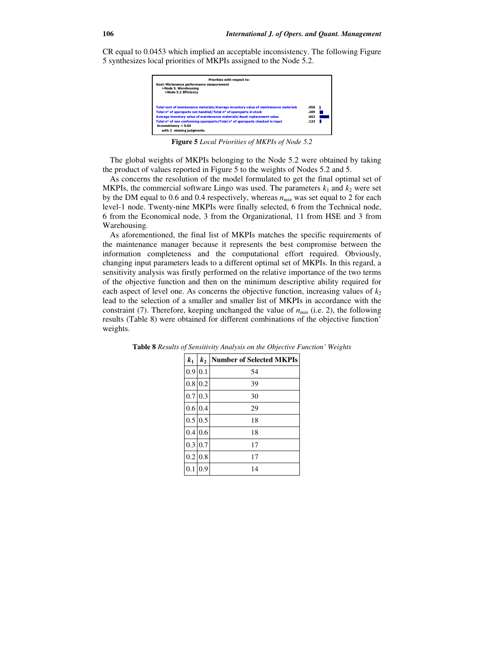CR equal to 0.0453 which implied an acceptable inconsistency. The following Figure 5 synthesizes local priorities of MKPIs assigned to the Node 5.2.



**Figure 5** *Local Priorities of MKPIs of Node 5.2* 

The global weights of MKPIs belonging to the Node 5.2 were obtained by taking the product of values reported in Figure 5 to the weights of Nodes 5.2 and 5.

As concerns the resolution of the model formulated to get the final optimal set of MKPIs, the commercial software Lingo was used. The parameters  $k_1$  and  $k_2$  were set by the DM equal to 0.6 and 0.4 respectively, whereas *nmin* was set equal to 2 for each level-1 node. Twenty-nine MKPIs were finally selected, 6 from the Technical node, 6 from the Economical node, 3 from the Organizational, 11 from HSE and 3 from Warehousing.

As aforementioned, the final list of MKPIs matches the specific requirements of the maintenance manager because it represents the best compromise between the information completeness and the computational effort required. Obviously, changing input parameters leads to a different optimal set of MKPIs. In this regard, a sensitivity analysis was firstly performed on the relative importance of the two terms of the objective function and then on the minimum descriptive ability required for each aspect of level one. As concerns the objective function, increasing values of  $k_2$ lead to the selection of a smaller and smaller list of MKPIs in accordance with the constraint (7). Therefore, keeping unchanged the value of *nmin* (i.e. 2), the following results (Table 8) were obtained for different combinations of the objective function' weights.

| $k_1$   | $k_2$   | <b>Number of Selected MKPIs</b> |
|---------|---------|---------------------------------|
| 0.9 0.1 |         | 54                              |
| 0.8     | 0.2     | 39                              |
| 0.7     | 0.3     | 30                              |
|         | 0.6 0.4 | 29                              |
| 0.5     | 0.5     | 18                              |
| 0.4     | 0.6     | 18                              |
| 0.3     | 0.7     | 17                              |
| 0.2     | 0.8     | 17                              |
|         | 9.      | 14                              |

**Table 8** *Results of Sensitivity Analysis on the Objective Function' Weights*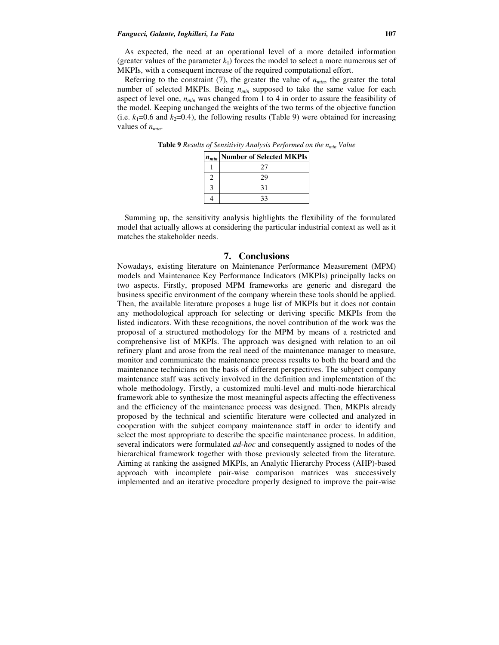As expected, the need at an operational level of a more detailed information (greater values of the parameter  $k_1$ ) forces the model to select a more numerous set of MKPIs, with a consequent increase of the required computational effort.

Referring to the constraint  $(7)$ , the greater the value of  $n_{min}$ , the greater the total number of selected MKPIs. Being *nmin* supposed to take the same value for each aspect of level one, *nmin* was changed from 1 to 4 in order to assure the feasibility of the model. Keeping unchanged the weights of the two terms of the objective function (i.e.  $k_1=0.6$  and  $k_2=0.4$ ), the following results (Table 9) were obtained for increasing values of *nmin*.

|  | $n_{min}$ Number of Selected MKPIs |
|--|------------------------------------|
|  |                                    |
|  |                                    |
|  | 31                                 |
|  |                                    |

**Table 9** *Results of Sensitivity Analysis Performed on the nmin Value* 

Summing up, the sensitivity analysis highlights the flexibility of the formulated model that actually allows at considering the particular industrial context as well as it matches the stakeholder needs.

## **7. Conclusions**

Nowadays, existing literature on Maintenance Performance Measurement (MPM) models and Maintenance Key Performance Indicators (MKPIs) principally lacks on two aspects. Firstly, proposed MPM frameworks are generic and disregard the business specific environment of the company wherein these tools should be applied. Then, the available literature proposes a huge list of MKPIs but it does not contain any methodological approach for selecting or deriving specific MKPIs from the listed indicators. With these recognitions, the novel contribution of the work was the proposal of a structured methodology for the MPM by means of a restricted and comprehensive list of MKPIs. The approach was designed with relation to an oil refinery plant and arose from the real need of the maintenance manager to measure, monitor and communicate the maintenance process results to both the board and the maintenance technicians on the basis of different perspectives. The subject company maintenance staff was actively involved in the definition and implementation of the whole methodology. Firstly, a customized multi-level and multi-node hierarchical framework able to synthesize the most meaningful aspects affecting the effectiveness and the efficiency of the maintenance process was designed. Then, MKPIs already proposed by the technical and scientific literature were collected and analyzed in cooperation with the subject company maintenance staff in order to identify and select the most appropriate to describe the specific maintenance process. In addition, several indicators were formulated *ad-hoc* and consequently assigned to nodes of the hierarchical framework together with those previously selected from the literature. Aiming at ranking the assigned MKPIs, an Analytic Hierarchy Process (AHP)-based approach with incomplete pair-wise comparison matrices was successively implemented and an iterative procedure properly designed to improve the pair-wise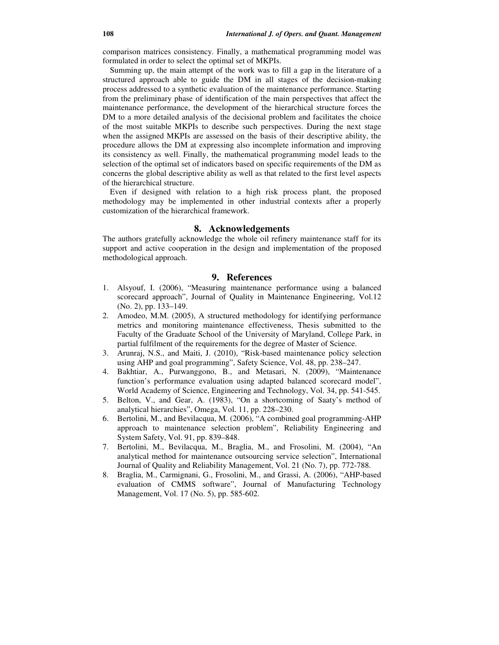comparison matrices consistency. Finally, a mathematical programming model was formulated in order to select the optimal set of MKPIs.

Summing up, the main attempt of the work was to fill a gap in the literature of a structured approach able to guide the DM in all stages of the decision-making process addressed to a synthetic evaluation of the maintenance performance. Starting from the preliminary phase of identification of the main perspectives that affect the maintenance performance, the development of the hierarchical structure forces the DM to a more detailed analysis of the decisional problem and facilitates the choice of the most suitable MKPIs to describe such perspectives. During the next stage when the assigned MKPIs are assessed on the basis of their descriptive ability, the procedure allows the DM at expressing also incomplete information and improving its consistency as well. Finally, the mathematical programming model leads to the selection of the optimal set of indicators based on specific requirements of the DM as concerns the global descriptive ability as well as that related to the first level aspects of the hierarchical structure.

Even if designed with relation to a high risk process plant, the proposed methodology may be implemented in other industrial contexts after a properly customization of the hierarchical framework.

# **8. Acknowledgements**

The authors gratefully acknowledge the whole oil refinery maintenance staff for its support and active cooperation in the design and implementation of the proposed methodological approach.

# **9. References**

- 1. Alsyouf, I. (2006), "Measuring maintenance performance using a balanced scorecard approach", Journal of Quality in Maintenance Engineering, Vol.12 (No. 2), pp. 133–149.
- 2. Amodeo, M.M. (2005), A structured methodology for identifying performance metrics and monitoring maintenance effectiveness, Thesis submitted to the Faculty of the Graduate School of the University of Maryland, College Park, in partial fulfilment of the requirements for the degree of Master of Science.
- 3. Arunraj, N.S., and Maiti, J. (2010), "Risk-based maintenance policy selection using AHP and goal programming", Safety Science, Vol. 48, pp. 238–247.
- 4. Bakhtiar, A., Purwanggono, B., and Metasari, N. (2009), "Maintenance function's performance evaluation using adapted balanced scorecard model", World Academy of Science, Engineering and Technology, Vol. 34, pp. 541-545.
- 5. Belton, V., and Gear, A. (1983), "On a shortcoming of Saaty's method of analytical hierarchies", Omega, Vol. 11, pp. 228–230.
- 6. Bertolini, M., and Bevilacqua, M. (2006), "A combined goal programming-AHP approach to maintenance selection problem", Reliability Engineering and System Safety, Vol. 91, pp. 839–848.
- 7. Bertolini, M., Bevilacqua, M., Braglia, M., and Frosolini, M. (2004), "An analytical method for maintenance outsourcing service selection", International Journal of Quality and Reliability Management, Vol. 21 (No. 7), pp. 772-788.
- 8. Braglia, M., Carmignani, G., Frosolini, M., and Grassi, A. (2006), "AHP-based evaluation of CMMS software", Journal of Manufacturing Technology Management, Vol. 17 (No. 5), pp. 585-602.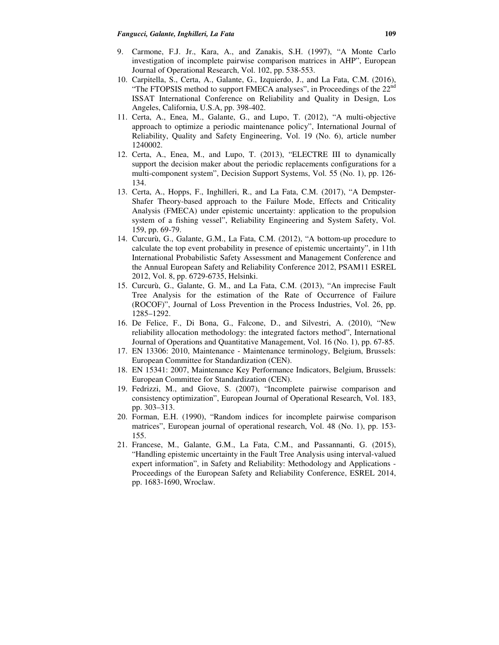- 9. Carmone, F.J. Jr., Kara, A., and Zanakis, S.H. (1997), "A Monte Carlo investigation of incomplete pairwise comparison matrices in AHP", European Journal of Operational Research, Vol. 102, pp. 538-553.
- 10. Carpitella, S., Certa, A., Galante, G., Izquierdo, J., and La Fata, C.M. (2016), "The FTOPSIS method to support FMECA analyses", in Proceedings of the 22<sup>nd</sup> ISSAT International Conference on Reliability and Quality in Design, Los Angeles, California, U.S.A, pp. 398-402.
- 11. Certa, A., Enea, M., Galante, G., and Lupo, T. (2012), "A multi-objective approach to optimize a periodic maintenance policy", International Journal of Reliability, Quality and Safety Engineering, Vol. 19 (No. 6), article number 1240002.
- 12. Certa, A., Enea, M., and Lupo, T. (2013), "ELECTRE III to dynamically support the decision maker about the periodic replacements configurations for a multi-component system", Decision Support Systems, Vol. 55 (No. 1), pp. 126- 134.
- 13. Certa, A., Hopps, F., Inghilleri, R., and La Fata, C.M. (2017), "A Dempster-Shafer Theory-based approach to the Failure Mode, Effects and Criticality Analysis (FMECA) under epistemic uncertainty: application to the propulsion system of a fishing vessel", Reliability Engineering and System Safety, Vol. 159, pp. 69-79.
- 14. Curcurù, G., Galante, G.M., La Fata, C.M. (2012), "A bottom-up procedure to calculate the top event probability in presence of epistemic uncertainty", in 11th International Probabilistic Safety Assessment and Management Conference and the Annual European Safety and Reliability Conference 2012, PSAM11 ESREL 2012, Vol. 8, pp. 6729-6735, Helsinki.
- 15. Curcurù, G., Galante, G. M., and La Fata, C.M. (2013), "An imprecise Fault Tree Analysis for the estimation of the Rate of Occurrence of Failure (ROCOF)", Journal of Loss Prevention in the Process Industries, Vol. 26, pp. 1285–1292.
- 16. De Felice, F., Di Bona, G., Falcone, D., and Silvestri, A. (2010), "New reliability allocation methodology: the integrated factors method", International Journal of Operations and Quantitative Management, Vol. 16 (No. 1), pp. 67-85.
- 17. EN 13306: 2010, Maintenance Maintenance terminology, Belgium, Brussels: European Committee for Standardization (CEN).
- 18. EN 15341: 2007, Maintenance Key Performance Indicators, Belgium, Brussels: European Committee for Standardization (CEN).
- 19. Fedrizzi, M., and Giove, S. (2007), "Incomplete pairwise comparison and consistency optimization", European Journal of Operational Research, Vol. 183, pp. 303–313.
- 20. Forman, E.H. (1990), "Random indices for incomplete pairwise comparison matrices", European journal of operational research, Vol. 48 (No. 1), pp. 153- 155.
- 21. Francese, M., Galante, G.M., La Fata, C.M., and Passannanti, G. (2015), "Handling epistemic uncertainty in the Fault Tree Analysis using interval-valued expert information", in Safety and Reliability: Methodology and Applications - Proceedings of the European Safety and Reliability Conference, ESREL 2014, pp. 1683-1690, Wroclaw.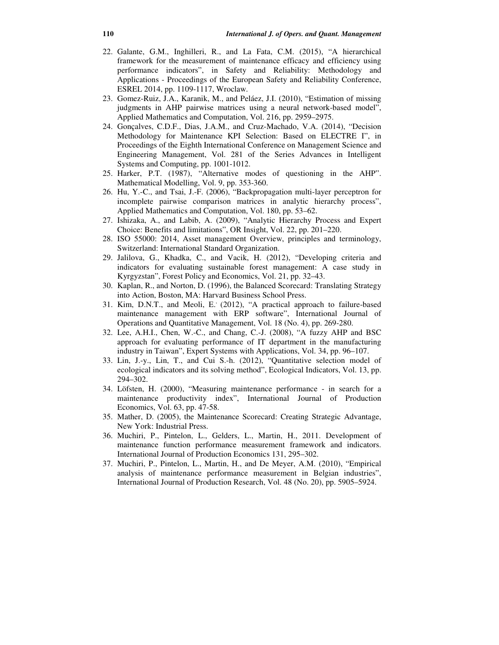- 22. Galante, G.M., Inghilleri, R., and La Fata, C.M. (2015), "A hierarchical framework for the measurement of maintenance efficacy and efficiency using performance indicators", in Safety and Reliability: Methodology and Applications - Proceedings of the European Safety and Reliability Conference, ESREL 2014, pp. 1109-1117, Wroclaw.
- 23. Gomez-Ruiz, J.A., Karanik, M., and Peláez, J.I. (2010), "Estimation of missing judgments in AHP pairwise matrices using a neural network-based model", Applied Mathematics and Computation, Vol. 216, pp. 2959–2975.
- 24. Gonçalves, C.D.F., Dias, J.A.M., and Cruz-Machado, V.A. (2014), "Decision Methodology for Maintenance KPI Selection: Based on ELECTRE I", in Proceedings of the Eighth International Conference on Management Science and Engineering Management, Vol. 281 of the Series Advances in Intelligent Systems and Computing, pp. 1001-1012.
- 25. Harker, P.T. (1987), "Alternative modes of questioning in the AHP". Mathematical Modelling, Vol. 9, pp. 353-360.
- 26. Hu, Y.-C., and Tsai, J.-F. (2006), "Backpropagation multi-layer perceptron for incomplete pairwise comparison matrices in analytic hierarchy process", Applied Mathematics and Computation, Vol. 180, pp. 53–62.
- 27. Ishizaka, A., and Labib, A. (2009), "Analytic Hierarchy Process and Expert Choice: Benefits and limitations", OR Insight, Vol. 22, pp. 201–220.
- 28. ISO 55000: 2014, Asset management Overview, principles and terminology, Switzerland: International Standard Organization.
- 29. Jalilova, G., Khadka, C., and Vacik, H. (2012), "Developing criteria and indicators for evaluating sustainable forest management: A case study in Kyrgyzstan", Forest Policy and Economics, Vol. 21, pp. 32–43.
- 30. Kaplan, R., and Norton, D. (1996), the Balanced Scorecard: Translating Strategy into Action, Boston, MA: Harvard Business School Press.
- 31. Kim, D.N.T., and Meoli, E. (2012), "A practical approach to failure-based maintenance management with ERP software", International Journal of Operations and Quantitative Management, Vol. 18 (No. 4), pp. 269-280.
- 32. Lee, A.H.I., Chen, W.-C., and Chang, C.-J. (2008), "A fuzzy AHP and BSC approach for evaluating performance of IT department in the manufacturing industry in Taiwan", Expert Systems with Applications, Vol. 34, pp. 96–107.
- 33. Lin, J.-y., Lin, T., and Cui S.-h. (2012), "Quantitative selection model of ecological indicators and its solving method", Ecological Indicators, Vol. 13, pp. 294–302.
- 34. Löfsten, H. (2000), "Measuring maintenance performance in search for a maintenance productivity index", International Journal of Production Economics, Vol. 63, pp. 47-58.
- 35. Mather, D. (2005), the Maintenance Scorecard: Creating Strategic Advantage, New York: Industrial Press.
- 36. Muchiri, P., Pintelon, L., Gelders, L., Martin, H., 2011. Development of maintenance function performance measurement framework and indicators. International Journal of Production Economics 131, 295–302.
- 37. Muchiri, P., Pintelon, L., Martin, H., and De Meyer, A.M. (2010), "Empirical analysis of maintenance performance measurement in Belgian industries", International Journal of Production Research, Vol. 48 (No. 20), pp. 5905–5924.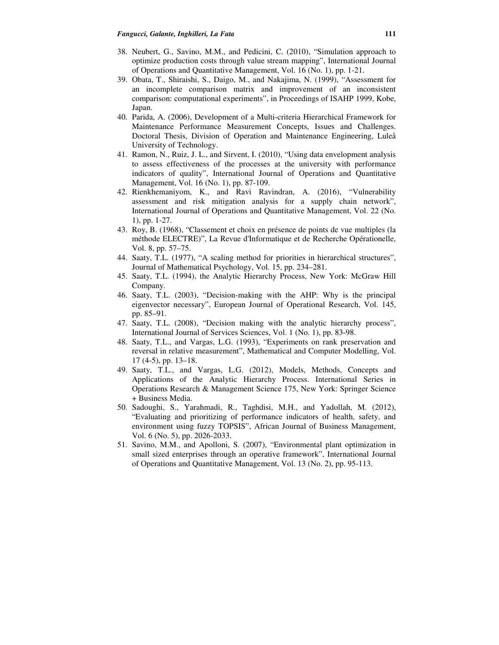- 38. Neubert, G., Savino, M.M., and Pedicini, C. (2010), "Simulation approach to optimize production costs through value stream mapping", International Journal of Operations and Quantitative Management, Vol. 16 (No. 1), pp. 1-21.
- 39. Obata, T., Shiraishi, S., Daigo, M., and Nakajima, N. (1999), "Assessment for an incomplete comparison matrix and improvement of an inconsistent comparison: computational experiments", in Proceedings of ISAHP 1999, Kobe, Japan.
- 40. Parida, A. (2006), Development of a Multi-criteria Hierarchical Framework for Maintenance Performance Measurement Concepts, Issues and Challenges. Doctoral Thesis, Division of Operation and Maintenance Engineering, Luleå University of Technology.
- 41. Ramon, N., Ruiz, J. L., and Sirvent, I. (2010), "Using data envelopment analysis to assess effectiveness of the processes at the university with performance indicators of quality", International Journal of Operations and Quantitative Management, Vol. 16 (No. 1), pp. 87-109.
- 42. Rienkhemaniyom, K., and Ravi Ravindran, A. (2016), "Vulnerability assessment and risk mitigation analysis for a supply chain network", International Journal of Operations and Quantitative Management, Vol. 22 (No. 1), pp. 1-27.
- 43. Roy, B. (1968), "Classement et choix en présence de points de vue multiples (la méthode ELECTRE)", La Revue d'Informatique et de Recherche Opérationelle, Vol. 8, pp. 57–75.
- 44. Saaty, T.L. (1977), "A scaling method for priorities in hierarchical structures", Journal of Mathematical Psychology, Vol. 15, pp. 234–281.
- 45. Saaty, T.L. (1994), the Analytic Hierarchy Process, New York: McGraw Hill Company.
- 46. Saaty, T.L. (2003), "Decision-making with the AHP: Why is the principal eigenvector necessary", European Journal of Operational Research, Vol. 145, pp. 85–91.
- 47. Saaty, T.L. (2008), "Decision making with the analytic hierarchy process", International Journal of Services Sciences, Vol. 1 (No. 1), pp. 83-98.
- 48. Saaty, T.L., and Vargas, L.G. (1993), "Experiments on rank preservation and reversal in relative measurement", Mathematical and Computer Modelling, Vol. 17 (4-5), pp. 13–18.
- 49. Saaty, T.L., and Vargas, L.G. (2012), Models, Methods, Concepts and Applications of the Analytic Hierarchy Process. International Series in Operations Research & Management Science 175, New York: Springer Science + Business Media.
- 50. Sadoughi, S., Yarahmadi, R., Taghdisi, M.H., and Yadollah, M. (2012), "Evaluating and prioritizing of performance indicators of health, safety, and environment using fuzzy TOPSIS", African Journal of Business Management, Vol. 6 (No. 5), pp. 2026-2033.
- 51. Savino, M.M., and Apolloni, S. (2007), "Environmental plant optimization in small sized enterprises through an operative framework", International Journal of Operations and Quantitative Management, Vol. 13 (No. 2), pp. 95-113.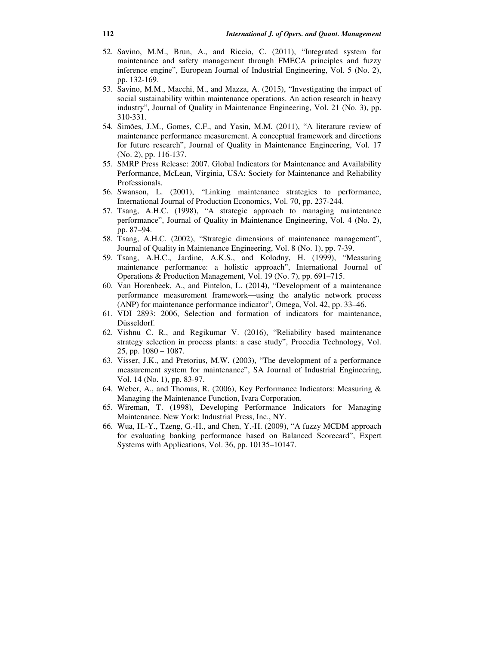- 52. Savino, M.M., Brun, A., and Riccio, C. (2011), "Integrated system for maintenance and safety management through FMECA principles and fuzzy inference engine", European Journal of Industrial Engineering, Vol. 5 (No. 2), pp. 132-169.
- 53. Savino, M.M., Macchi, M., and Mazza, A. (2015), "Investigating the impact of social sustainability within maintenance operations. An action research in heavy industry", Journal of Quality in Maintenance Engineering, Vol. 21 (No. 3), pp. 310-331.
- 54. Simões, J.M., Gomes, C.F., and Yasin, M.M. (2011), "A literature review of maintenance performance measurement. A conceptual framework and directions for future research", Journal of Quality in Maintenance Engineering, Vol. 17 (No. 2), pp. 116-137.
- 55. SMRP Press Release: 2007. Global Indicators for Maintenance and Availability Performance, McLean, Virginia, USA: Society for Maintenance and Reliability Professionals.
- 56. Swanson, L. (2001), "Linking maintenance strategies to performance, International Journal of Production Economics, Vol. 70, pp. 237-244.
- 57. Tsang, A.H.C. (1998), "A strategic approach to managing maintenance performance", Journal of Quality in Maintenance Engineering, Vol. 4 (No. 2), pp. 87–94.
- 58. Tsang, A.H.C. (2002), "Strategic dimensions of maintenance management", Journal of Quality in Maintenance Engineering, Vol. 8 (No. 1), pp. 7-39.
- 59. Tsang, A.H.C., Jardine, A.K.S., and Kolodny, H. (1999), "Measuring maintenance performance: a holistic approach", International Journal of Operations & Production Management, Vol. 19 (No. 7), pp. 691–715.
- 60. Van Horenbeek, A., and Pintelon, L. (2014), "Development of a maintenance performance measurement framework—using the analytic network process (ANP) for maintenance performance indicator", Omega, Vol. 42, pp. 33–46.
- 61. VDI 2893: 2006, Selection and formation of indicators for maintenance, Düsseldorf.
- 62. Vishnu C. R., and Regikumar V. (2016), "Reliability based maintenance strategy selection in process plants: a case study", Procedia Technology, Vol. 25, pp. 1080 – 1087.
- 63. Visser, J.K., and Pretorius, M.W. (2003), "The development of a performance measurement system for maintenance", SA Journal of Industrial Engineering, Vol. 14 (No. 1), pp. 83-97.
- 64. Weber, A., and Thomas, R. (2006), Key Performance Indicators: Measuring & Managing the Maintenance Function, Ivara Corporation.
- 65. Wireman, T. (1998), Developing Performance Indicators for Managing Maintenance. New York: Industrial Press, Inc., NY.
- 66. Wua, H.-Y., Tzeng, G.-H., and Chen, Y.-H. (2009), "A fuzzy MCDM approach for evaluating banking performance based on Balanced Scorecard", Expert Systems with Applications, Vol. 36, pp. 10135–10147.